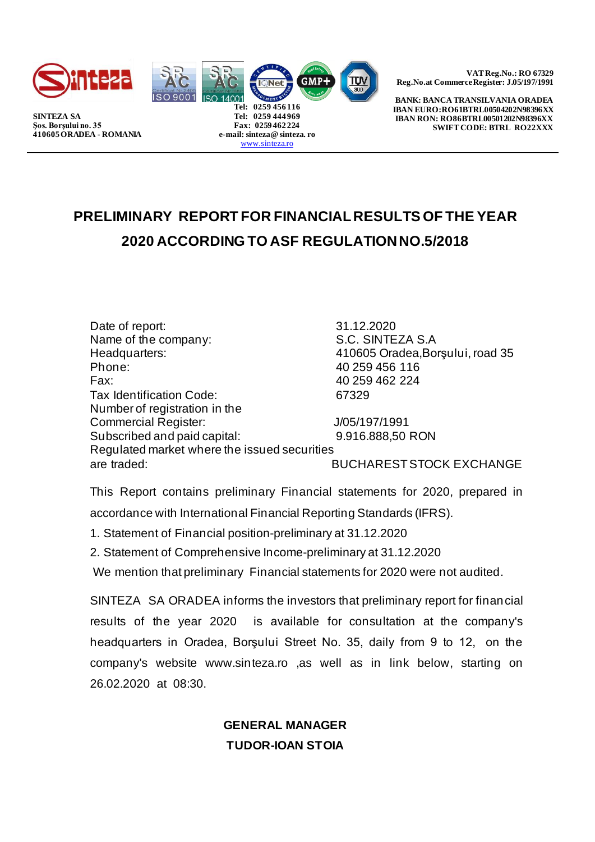





**Tel: 0259 444 969 Fax: 0259 462 224 e-mail: sinteza@ sinteza. ro** [www.sinteza.ro](http://www.sinteza.ro/)

**VAT Reg.No.: RO 67329 Reg.No.at Commerce Register: J.05/197/1991** 

**BANK: BANCA TRANSILVANIA ORADEA IBAN EURO:RO61BTRL00504202N98396XX IBAN RON: RO86BTRL00501202N98396XX SWIFT CODE: BTRL RO22XXX** 

## **PRELIMINARY REPORT FOR FINANCIAL RESULTS OF THE YEAR 2020 ACCORDING TO ASF REGULATION NO.5/2018**

Date of report: 31.12.2020 Name of the company: S.C. SINTEZA S.A Headquarters: 410605 Oradea, Borşului, road 35<br>Phone: 40 259 456 116 Phone: 40 259 456 116 Fax: 40 259 462 224 Tax Identification Code: 67329 Number of registration in the Commercial Register: J/05/197/1991 Subscribed and paid capital: 9.916.888,50 RON Regulated market where the issued securities are traded: BUCHAREST STOCK EXCHANGE

This Report contains preliminary Financial statements for 2020, prepared in accordance with International Financial Reporting Standards (IFRS).

1. Statement of Financial position-preliminary at 31.12.2020

2. Statement of Comprehensive Income-preliminary at 31.12.2020

We mention that preliminary Financial statements for 2020 were not audited.

SINTEZA SA ORADEA informs the investors that preliminary report for financial results of the year 2020 is available for consultation at the company's headquarters in Oradea, Borşului Street No. 35, daily from 9 to 12, on the company's website www.sinteza.ro ,as well as in link below, starting on 26.02.2020 at 08:30.

> **GENERAL MANAGER TUDOR-IOAN STOIA**

**SINTEZA SA Şos. Borşului no. 35 410605 ORADEA - ROMANIA**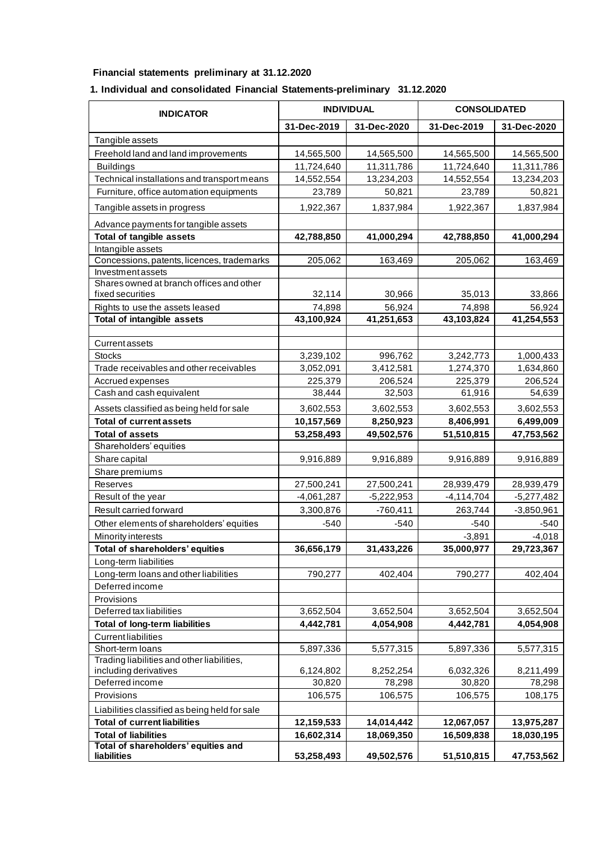## **Financial statements preliminary at 31.12.2020**

## **1. Individual and consolidated Financial Statements-preliminary 31.12.2020**

| <b>INDICATOR</b>                                             | <b>INDIVIDUAL</b> |              | <b>CONSOLIDATED</b>    |              |
|--------------------------------------------------------------|-------------------|--------------|------------------------|--------------|
|                                                              | 31-Dec-2019       | 31-Dec-2020  | 31-Dec-2019            | 31-Dec-2020  |
| Tangible assets                                              |                   |              |                        |              |
| Freehold land and land improvements                          | 14,565,500        | 14,565,500   | 14,565,500             | 14,565,500   |
| <b>Buildings</b>                                             | 11,724,640        | 11,311,786   | 11,724,640             | 11,311,786   |
| Technical installations and transport means                  | 14,552,554        | 13,234,203   | 14,552,554             | 13,234,203   |
| Furniture, office automation equipments                      | 23,789            | 50,821       | 23,789                 | 50,821       |
| Tangible assets in progress                                  | 1,922,367         | 1,837,984    | 1,922,367              | 1,837,984    |
| Advance payments for tangible assets                         |                   |              |                        |              |
| <b>Total of tangible assets</b>                              | 42,788,850        | 41,000,294   | 42,788,850             | 41,000,294   |
| Intangible assets                                            |                   |              |                        |              |
| Concessions, patents, licences, trademarks                   | 205,062           | 163,469      | 205,062                | 163,469      |
| Investment assets                                            |                   |              |                        |              |
| Shares owned at branch offices and other<br>fixed securities | 32,114            | 30,966       | 35,013                 | 33,866       |
| Rights to use the assets leased                              | 74,898            | 56,924       | 74,898                 | 56,924       |
| <b>Total of intangible assets</b>                            | 43,100,924        | 41,251,653   | 43,103,824             | 41,254,553   |
|                                                              |                   |              |                        |              |
| Currentassets                                                |                   |              |                        |              |
| <b>Stocks</b>                                                | 3,239,102         | 996,762      | 3,242,773              | 1,000,433    |
| Trade receivables and other receivables                      | 3,052,091         | 3,412,581    | 1,274,370              | 1,634,860    |
| Accrued expenses                                             | 225,379           | 206,524      | 225,379                | 206,524      |
| Cash and cash equivalent                                     | 38,444            | 32,503       | 61,916                 | 54,639       |
| Assets classified as being held for sale                     | 3,602,553         | 3,602,553    | 3,602,553              | 3,602,553    |
| <b>Total of current assets</b>                               | 10,157,569        | 8,250,923    | 8,406,991              | 6,499,009    |
| <b>Total of assets</b>                                       | 53,258,493        | 49,502,576   | 51,510,815             | 47,753,562   |
| Shareholders' equities                                       |                   |              |                        |              |
| Share capital                                                | 9,916,889         | 9,916,889    | 9,916,889              | 9,916,889    |
| Share premiums                                               |                   |              |                        |              |
| Reserves                                                     | 27,500,241        | 27,500,241   | 28,939,479             | 28,939,479   |
| Result of the year                                           | $-4,061,287$      | $-5,222,953$ | $-4,114,704$           | $-5,277,482$ |
| Result carried forward                                       | 3,300,876         | $-760,411$   | 263,744                | $-3,850,961$ |
| Other elements of shareholders' equities                     | $-540$            | $-540$       | $-540$                 | $-540$       |
| Minority interests                                           |                   |              | $-3,891$               | $-4,018$     |
| Total of shareholders' equities                              | 36,656,179        | 31,433,226   | 35,000,977             | 29,723,367   |
| Long-term liabilities                                        |                   |              |                        |              |
| Long-term loans and other liabilities                        | 790,277           | 402,404      | 790,277                | 402,404      |
| Deferred income                                              |                   |              |                        |              |
| Provisions                                                   |                   |              |                        |              |
| Deferred tax liabilities                                     | 3,652,504         | 3,652,504    | 3,652,504<br>4,442,781 | 3,652,504    |
| <b>Total of long-term liabilities</b>                        | 4,442,781         | 4,054,908    |                        | 4,054,908    |
| Currentliabilities<br>Short-term loans                       | 5,897,336         | 5,577,315    | 5,897,336              | 5,577,315    |
| Trading liabilities and other liabilities,                   |                   |              |                        |              |
| including derivatives                                        | 6,124,802         | 8,252,254    | 6,032,326              | 8,211,499    |
| Deferred income                                              | 30,820            | 78,298       | 30,820                 | 78,298       |
| Provisions                                                   | 106,575           | 106,575      | 106,575                | 108,175      |
| Liabilities classified as being held for sale                |                   |              |                        |              |
| <b>Total of current liabilities</b>                          | 12,159,533        | 14,014,442   | 12,067,057             | 13,975,287   |
| <b>Total of liabilities</b>                                  | 16,602,314        | 18,069,350   | 16,509,838             | 18,030,195   |
| Total of shareholders' equities and                          |                   |              |                        |              |
| liabilities                                                  | 53,258,493        | 49,502,576   | 51,510,815             | 47,753,562   |